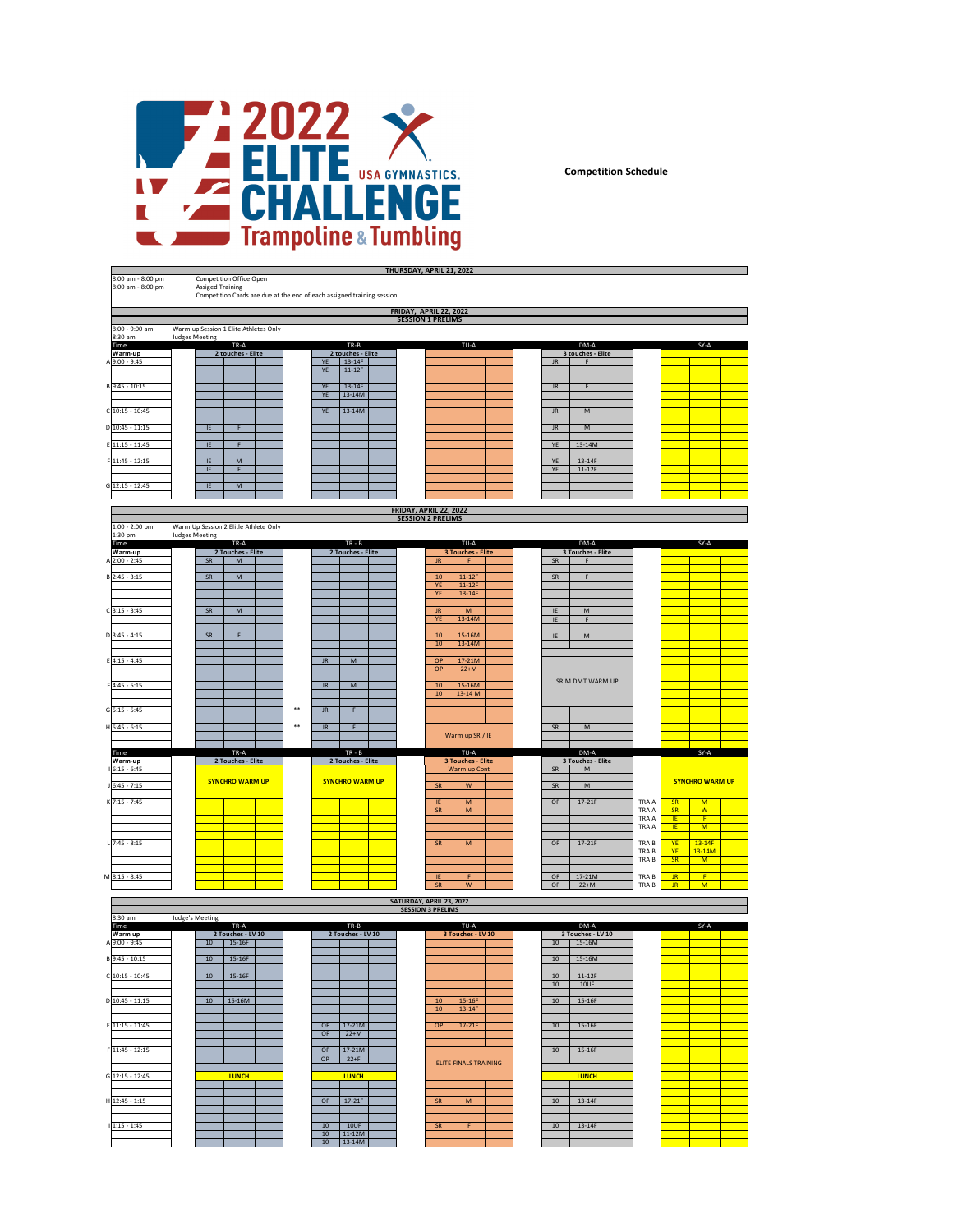

**Competition Schedule**

|                                        |                                                                                                                                                |                                                   | <b>THURSDAY, APRIL 21, 2022</b>                                                                                          |                                                                                                                                       |                                  |
|----------------------------------------|------------------------------------------------------------------------------------------------------------------------------------------------|---------------------------------------------------|--------------------------------------------------------------------------------------------------------------------------|---------------------------------------------------------------------------------------------------------------------------------------|----------------------------------|
| 8:00 am - 8:00 pm<br>8:00 am - 8:00 pm | <b>Competition Office Open</b><br><b>Assiged Training</b><br>Competition Cards are due at the end of each assigned training session            |                                                   |                                                                                                                          |                                                                                                                                       |                                  |
|                                        |                                                                                                                                                |                                                   | FRIDAY, APRIL 22, 2022                                                                                                   |                                                                                                                                       |                                  |
| 8:00 - 9:00 am                         | Warm up Session 1 Elite Athletes Only                                                                                                          |                                                   | <b>SESSION 1 PRELIMS</b>                                                                                                 |                                                                                                                                       |                                  |
| 8:30 am<br>Time                        | <b>Judges Meeting</b><br>TR-A                                                                                                                  | TR-B                                              | TU-A                                                                                                                     | DM-A                                                                                                                                  | SY-A                             |
| Warm-up<br>A 9:00 - 9:45               | 2 touches - Elite                                                                                                                              | 2 touches - Elite<br>YE<br>13-14F                 |                                                                                                                          | 3 touches - Elite<br>$\mathsf{J}\mathsf{R}$<br>F                                                                                      |                                  |
|                                        |                                                                                                                                                | $11-12F$<br>YE                                    |                                                                                                                          |                                                                                                                                       |                                  |
| $B\overline{9:45} - 10:15$             |                                                                                                                                                | YE<br>13-14F<br>YE<br>13-14M                      |                                                                                                                          | F<br>$\mathsf{J}\mathsf{R}$                                                                                                           |                                  |
| C 10:15 - 10:45                        |                                                                                                                                                | YE<br>$13-14M$                                    |                                                                                                                          | M<br>$\mathsf{J}\mathsf{R}$                                                                                                           |                                  |
| D 10:45 - 11:15                        | E<br>$\mathsf F$                                                                                                                               |                                                   |                                                                                                                          | <b>JR</b><br>$\mathsf{M}% _{T}=\mathsf{M}_{T}\!\left( a,b\right) ,\ \mathsf{M}_{T}=\mathsf{M}_{T}\!\left( a,b\right) ,$               |                                  |
| E 11:15 - 11:45                        | IE<br>F                                                                                                                                        |                                                   |                                                                                                                          | 13-14M<br>YE                                                                                                                          |                                  |
| F 11:45 - 12:15                        | $\overline{M}$<br>IE<br>IE<br>F                                                                                                                |                                                   |                                                                                                                          | YE<br>13-14F<br>YE<br>$11-12F$                                                                                                        |                                  |
| G 12:15 - 12:45                        | IE<br>M                                                                                                                                        |                                                   |                                                                                                                          |                                                                                                                                       |                                  |
|                                        |                                                                                                                                                |                                                   |                                                                                                                          |                                                                                                                                       |                                  |
|                                        |                                                                                                                                                |                                                   | <b>FRIDAY, APRIL 22, 2022</b><br><b>SESSION 2 PRELIMS</b>                                                                |                                                                                                                                       |                                  |
| 1:00 - 2:00 pm<br>1:30 pm              | Warm Up Session 2 Elitle Athlete Only<br><b>Judges Meeting</b>                                                                                 |                                                   |                                                                                                                          |                                                                                                                                       |                                  |
| Time<br>Warm-up                        | TR-A<br>2 Touches - Elite                                                                                                                      | $TR - B$<br>2 Touches - Elite                     | TU-A<br>3 Touches - Elite                                                                                                | DM-A<br>3 Touches - Elite                                                                                                             |                                  |
| A 2:00 - 2:45                          | ${\sf SR}$<br>$\mathsf{M}% _{T}=\mathsf{M}_{T}\!\left( a,b\right) ,\ \mathsf{M}_{T}=\mathsf{M}_{T}\!\left( a,b\right) ,$<br>SR<br>$\mathsf{M}$ |                                                   | $\mathsf{J}\mathsf{R}$<br>F<br>$10$<br>$11-12F$                                                                          | ${\sf SR}$<br>F<br>SR<br>F                                                                                                            |                                  |
| $B$ 2:45 - 3:15                        |                                                                                                                                                |                                                   | YE<br>$11-12F$<br>YE<br>13-14F                                                                                           |                                                                                                                                       |                                  |
| $C$ 3:15 - 3:45                        | ${\sf SR}$<br>M                                                                                                                                |                                                   | JR.<br>$\mathsf{M}% _{T}=\mathsf{M}_{T}\!\left( a,b\right) ,\ \mathsf{M}_{T}=\mathsf{M}_{T}\!\left( a,b\right) ,$        | IE<br>${\sf M}$                                                                                                                       |                                  |
|                                        |                                                                                                                                                |                                                   | YE<br>13-14M                                                                                                             | F<br>IE                                                                                                                               |                                  |
| $D$ 3:45 - 4:15                        | SR<br>F                                                                                                                                        |                                                   | 15-16M<br>10<br>$10\,$<br>$13-14M$                                                                                       | ${\sf M}$<br>IE                                                                                                                       |                                  |
| E 4:15 - 4:45                          |                                                                                                                                                | $\mathsf{J}\mathsf{R}$<br>${\sf M}$               | OP<br>17-21M                                                                                                             |                                                                                                                                       |                                  |
|                                        |                                                                                                                                                |                                                   | OP<br>$22+M$                                                                                                             | SR M DMT WARM UP                                                                                                                      |                                  |
| F4:45 - 5:15                           |                                                                                                                                                | $\ensuremath{\mathsf{JR}}\xspace$<br>$\mathsf{M}$ | 15-16M<br>$10$<br>${\bf 10}$<br>13-14 M                                                                                  |                                                                                                                                       |                                  |
| $G$ 5:15 - 5:45                        |                                                                                                                                                | $\mathsf F$<br><b>JR</b>                          |                                                                                                                          |                                                                                                                                       |                                  |
| H 5:45 - 6:15                          |                                                                                                                                                | F<br>$\mathsf{J}\mathsf{R}$                       | Warm up SR / IE                                                                                                          | $\mathsf{M}% _{T}=\mathsf{M}_{T}\!\left( a,b\right) ,\ \mathsf{M}_{T}=\mathsf{M}_{T}\!\left( a,b\right) ,$<br>SR                      |                                  |
| Time                                   | TR-A                                                                                                                                           | $TR - B$                                          | TU-A                                                                                                                     | DM-A                                                                                                                                  | SY-A                             |
| Warm-up<br>$16:15 - 6:45$              | 2 Touches - Elite                                                                                                                              | 2 Touches - Elite                                 | 3 Touches - Elite<br>Warm up Cont                                                                                        | 3 Touches - Elite<br>SR<br>$\mathsf{M}% _{T}=\mathsf{M}_{T}\!\left( a,b\right) ,\ \mathsf{M}_{T}=\mathsf{M}_{T}\!\left( a,b\right) ,$ |                                  |
| $J$ 6:45 - 7:15                        | <b>SYNCHRO WARM UP</b>                                                                                                                         | <b>SYNCHRO WARM UP</b>                            | $\mathsf{W}% _{T}=\mathsf{W}_{T}\!\left( a,b\right) ,\ \mathsf{W}_{T}=\mathsf{W}_{T}\!\left( a,b\right) ,$<br>${\sf SR}$ | ${\sf SR}$<br>${\sf M}$                                                                                                               | <b>SYNCHRO WARM UP</b>           |
| K 7:15 - 7:45                          |                                                                                                                                                |                                                   | $\overline{M}$<br>IE<br>SR<br>$\mathsf{M}$                                                                               | OP<br>$17-21F$<br>TRA A<br>TRA A                                                                                                      | SR<br>M<br>SR<br>$\overline{w}$  |
|                                        |                                                                                                                                                |                                                   |                                                                                                                          | TRA A<br>TRA A                                                                                                                        | IE.<br>$\mathsf{F}$<br>IE.<br>M  |
| $17:45 - 8:15$                         |                                                                                                                                                |                                                   | SR<br>$\overline{M}$                                                                                                     | $17-21F$<br>OP<br>TRA B                                                                                                               | <b>YE</b><br>$13-14F$            |
|                                        |                                                                                                                                                |                                                   |                                                                                                                          | TRA B<br>TRA B                                                                                                                        | 13-14M<br>YE.<br>SR<br>M         |
| M 8:15 - 8:45                          |                                                                                                                                                |                                                   | IE<br>F                                                                                                                  | OP<br>17-21M<br>TRA B                                                                                                                 | J <sub>R</sub><br>$\overline{F}$ |
|                                        |                                                                                                                                                |                                                   | SR<br>$\boldsymbol{\mathrm{W}}$<br>SATURDAY, APRIL 23, 2022                                                              | OP<br>$22+M$<br>TRA B                                                                                                                 | $\ensuremath{\mathsf{JR}}$<br>M  |
| 8:30 am                                | <b>Judge's Meeting</b>                                                                                                                         |                                                   | <b>SESSION 3 PRELIMS</b>                                                                                                 |                                                                                                                                       |                                  |
| Time<br>Warm up                        | TR-A<br>2 Touches - LV 10                                                                                                                      | TR-B<br>2 Touches - LV 10                         | TU-A<br>3 Touches - LV 10                                                                                                | DM-A<br>3 Touches - LV 10                                                                                                             | SY-A                             |
| A 9:00 - 9:45                          | $10\,$<br>15-16F                                                                                                                               |                                                   |                                                                                                                          | 10<br>15-16M                                                                                                                          |                                  |
| B 9:45 - 10:15                         | $10\,$<br>$15-16F$                                                                                                                             |                                                   |                                                                                                                          | $10\,$<br>15-16M                                                                                                                      |                                  |
| C 10:15 - 10:45                        | $10\,$<br>$15-16F$                                                                                                                             |                                                   |                                                                                                                          | 10<br>$11-12F$<br>10UF<br>10                                                                                                          |                                  |
| D 10:45 - 11:15                        | 15-16M<br>10                                                                                                                                   |                                                   | 10<br>$15-16F$<br>${\bf 10}$<br>13-14F                                                                                   | 10<br>$15-16F$                                                                                                                        |                                  |
| E 11:15 - 11:45                        |                                                                                                                                                | 17-21M<br>OP                                      | $17-21F$<br>OP                                                                                                           | 10<br>15-16F                                                                                                                          |                                  |
|                                        |                                                                                                                                                | OP<br>$22+M$                                      |                                                                                                                          |                                                                                                                                       |                                  |
| F 11:45 - 12:15                        |                                                                                                                                                | OP<br>$17-21M$<br>OP<br>$22+F$                    | <b>ELITE FINALS TRAINING</b>                                                                                             | $10\,$<br>$15-16F$                                                                                                                    |                                  |
| G 12:15 - 12:45                        | <b>LUNCH</b>                                                                                                                                   | <b>LUNCH</b>                                      |                                                                                                                          | <b>LUNCH</b>                                                                                                                          |                                  |
|                                        |                                                                                                                                                |                                                   |                                                                                                                          |                                                                                                                                       |                                  |
| $H$ 12:45 - 1:15                       |                                                                                                                                                | $17-21F$<br>OP                                    | ${\sf SR}$<br>M                                                                                                          | 13-14F<br>10                                                                                                                          |                                  |
| $1:15 - 1:45$                          |                                                                                                                                                | 10<br>10UF<br>$10\,$<br>$11-12M$                  | ${\sf SR}$<br>Æ                                                                                                          | 13-14F<br>$10$                                                                                                                        |                                  |
|                                        |                                                                                                                                                | $13-14M$<br>10                                    |                                                                                                                          |                                                                                                                                       |                                  |